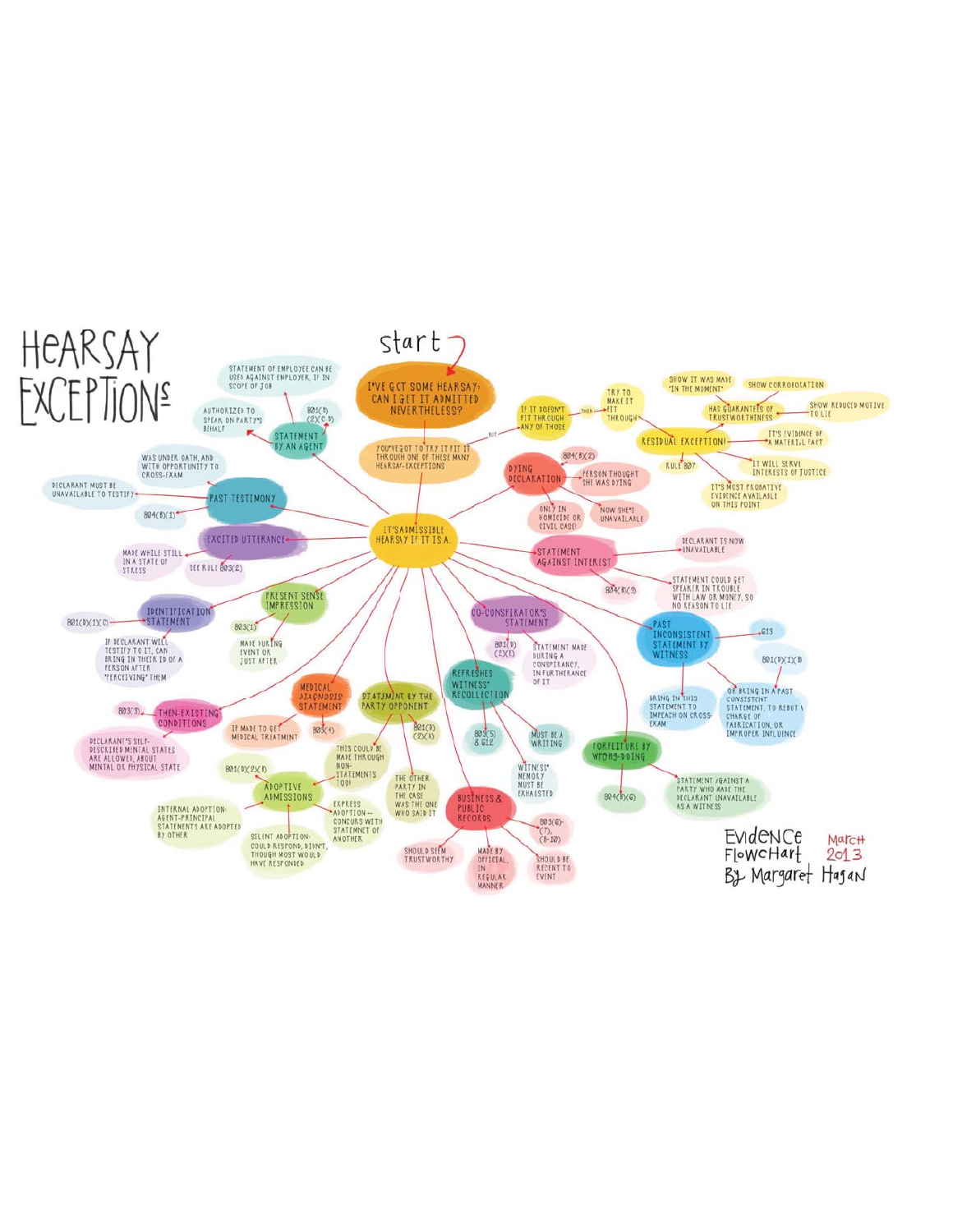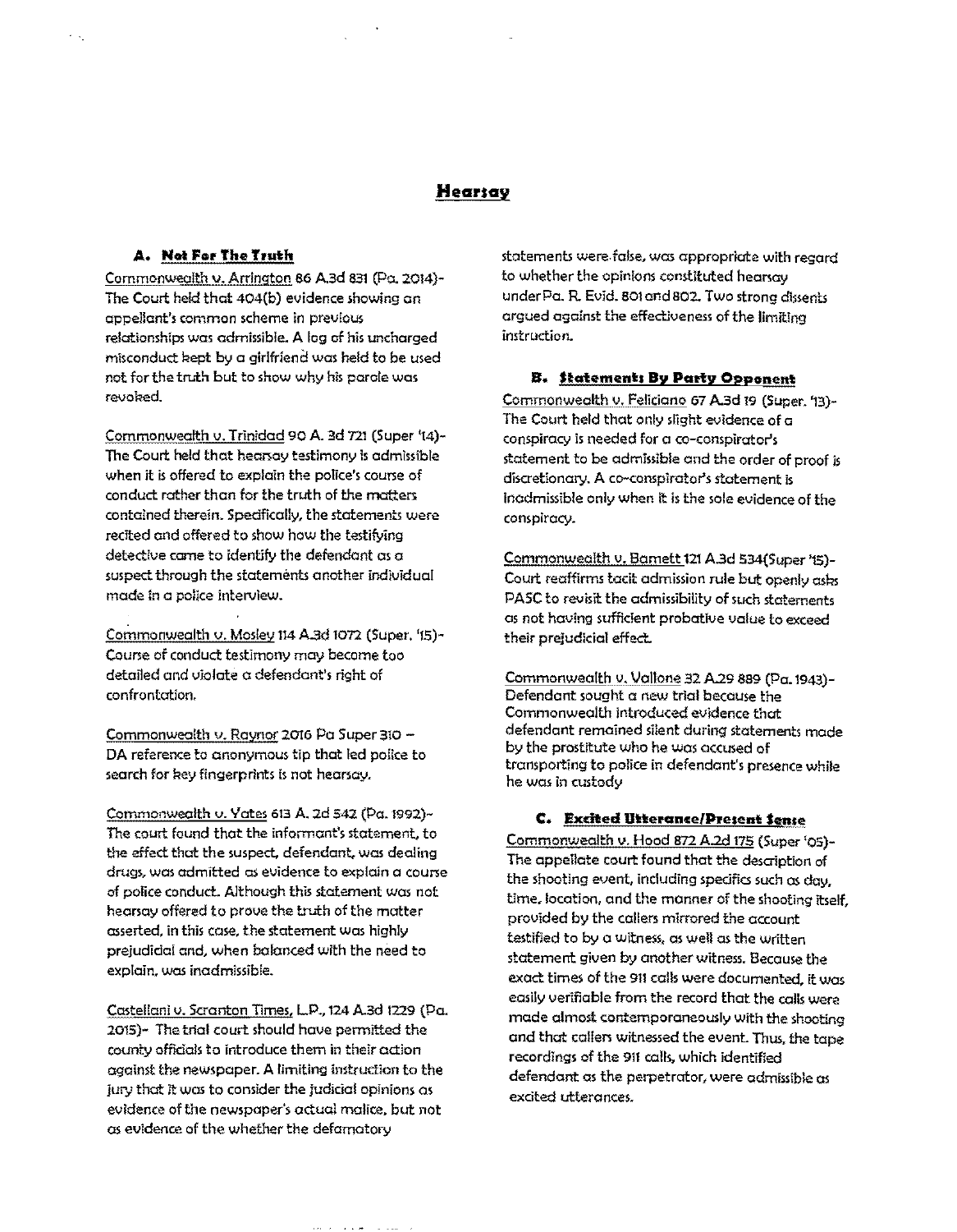## **Hearsav**

### **A. Not For The Truth**

Commonwealth v. Arrington 86 A.3d 831 (Po. 2014)- The Court held that 404(b) evidence showing an **appellant's common scheme in previous**  relationships was admissible. A log of his uncharged misconduct Rept by a girlfrien d wos held to be used not for the truth but to show why his parole was revobed

Commonwealth v. Trinidad 90 A. 3d 721 (Super '14)-The Court held that heanay testimony is admissible when it is offered to explain the police's coune of conduct rother than for the truth of the matters contained therein. Spedfically, the statements were recited and offered to show how the testifying detective come to identify the defendant as a suspect through the statements another individual mode in a police interview.

Commonwealth v. Mosley 114 A.3d 1072 (Super. '15)- Course of conduct testimony may become too detailed and violate a defendant's right of confrontation.

Commonwealth v. Raynor 2016 Pa Super 310 -DA reference to anonymous tip that led police to search for key fingerprints is not hearsay.

Commonwealth v. Yates 613 A. 2d 542 (Pa. 1992)- The court found that the informant's statement, to the effect that the suspect. defendant. wos dealing drugs, was admitted as evidence to explain a course of police conduct. Although this statement was not hearsay offered to prove the truth of the matter asserted, in this case, the statement was highly prejudidal and, when balanced with the need to explain, was inadmissible.

Costellani v. Scranton Times, LP., 124 A.3d 1229 (Po. 2015)- The trial court should have permitted the county offidals to introduce them in their action against the newspaper. A limiting instruction to the jury that it wos to consider the judicial opinions as evidence of the newspaper's actual malice, but not os evidence of the whether the defamatory

بالمتباعث المنباب

statements were false, was appropriate with regard to whether the opinions constituted hearsay under Pa. R. Evid. 801 and 802. Two strong dissents argued against the effectiveness of the limiting instruction.

### **B. Statements By Pariy Opponent**

Commonwealth v. Feliciano 67 A.3d 19 (Super. '13)-The Court held that only slight evidence of a conspiracy is needed for a co-conspirator's statement to be admissible and the order of proof is discretionary. A co-conspirator's statement is Inadmissible only when It is the sale evidence of the conspiracy.

Commonwealth v. Bamett 121 A.3d 534(Super '15)-Court reaffirms tacit admission rule but openly asks PA5C to revisit the admissibility of such statements as not having sufficient probative value to exceed their prejudicial effect.

Commonwealth v. Vallone 32 A.29 889 (Pa. 1943)-Defendant sought a new trial because the Commonwealth introduced evidence that defendant remained silent during statements made by the prostitute who he was accused of transporting to police in defendant's presence while he was in custody

### **C. Excited Utterance/Present Sense**

Commonwealth v. Hood 872 A.2d 175 (Super '05)- The appellate court found that the description of the shooting event, including spedfia such os day, time, location, and the manner of the shooting itself, provided by the callers mirrored the account testified to by a witness, as well os the written statement given by another witness, Because the exact times of the 911 calls were documented, it was easily verifiable from the record that the calls were made almost contemporaneously with the shooting and that collen witnessed the event. Thus. the tope recordings of the 911 calls, which identified defendant as the perpetrator, were admissible  $\alpha$ excited utterances.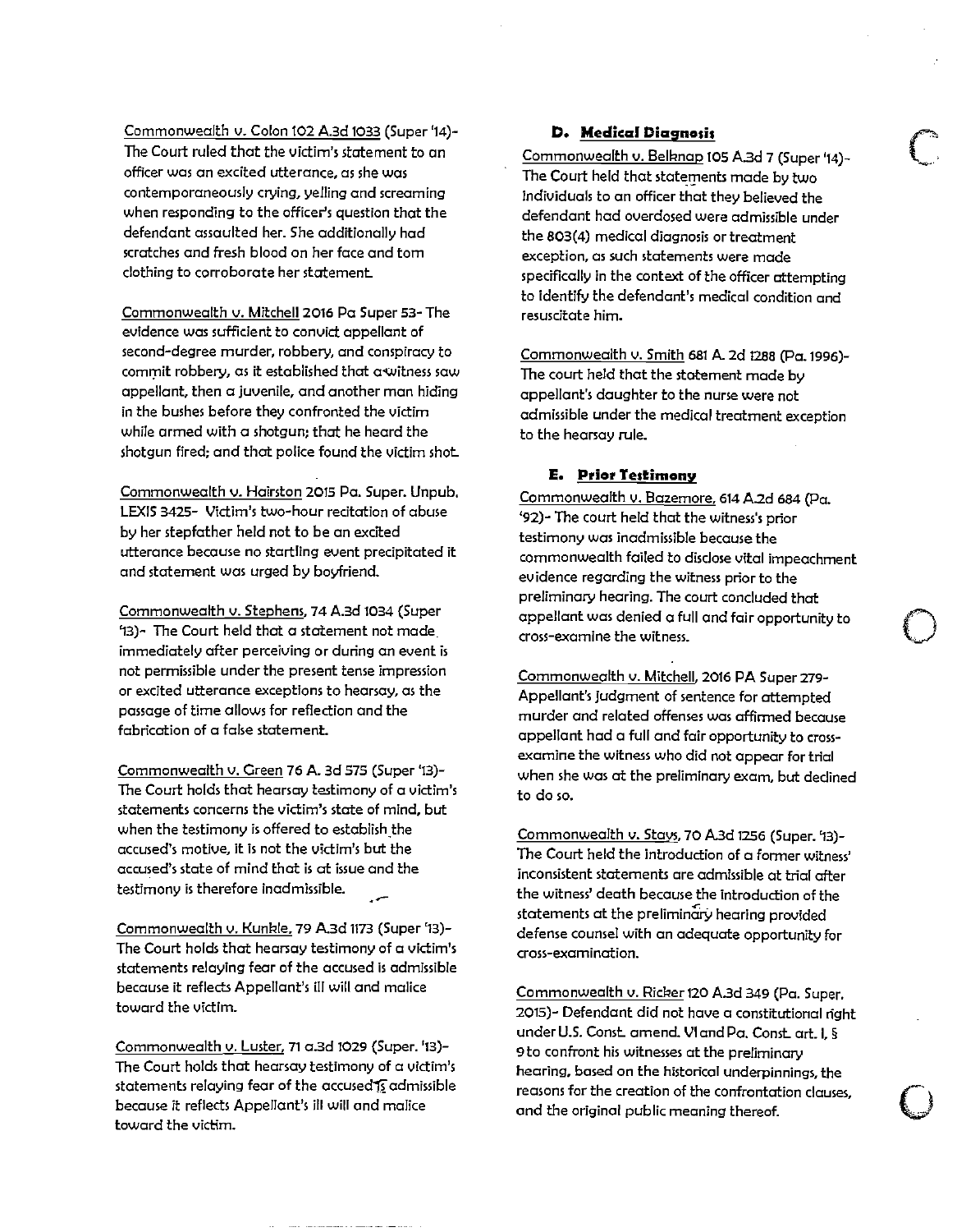Commonwealth v. Colon 102 A,3d 1033 (Super '14)- The Court ruled that the victim's statement to an **officer was an excited utterance, as she was**  contemporaneously crying, yelling and screaming when responding to the officer's question that the defendant assaulted her. She additionally had scratches and fresh blood on her face and tom clothing to corroborate her statement.

Commonwealth v. Mitchell 2016 Pa Super 53- The evidence was sufficient to convict appellant of second-degree murder, robbery, and conspiracy to commit robbery, as it established that a witness saw appellant, then a juvenile, and another man hiding in the bushes before they confronted the victim while armed with a shotgun: that he heard the shotgun fired: and that police found the victim shot.

Commonwealth v. Hairston 2015 Pa. Super. Unpub. LEXIS 3425- Victim's two-hour recitation of abuse by her stepfather held not to be an excited **utterance because no startling event precipitated it**  and statement was urged by boyfriend.

Commonwealth v. Stephens, 74 A.3d 1034 (Super ~3)- The Court held that a statement not made, **immediately after perceiving or during an event is**  not permissible under the present tense impression **or excited utterance exceptions to hearsay, as the**  passage of time allows for reflection and the fabrication of a false statement.

Commonwealth v. Green 76 A. 3d 575 (Super '13)- The Court holds that hearsay testimony of a victim's **statements concerns the victim's state of mind, but**  when the testimony is offered to establish the **accused's motive .. it is not the victim's but the**  accused's state of mind that is at issue and the **testimony is therefore inadmissible.** 

Commonwealth v. Kunkle, 79 A.3d 1173 (Super '13)-The Court holds that hearsay testimony of a victim's statements relaying fear of the accused is admissible because it reflects Appellant's iII will and malice toward the victim.

Commonwealth v. Luster, 71 a.3d 1029 (Super. '13)- The Court holds that hearsay testimony of a victim's statements relaying fear of the accused is admissible because it reflects Appellant's iII wiII and malice toward the victim.

### **D. Medical Diagnosis**

Commonwealth v. Belknap 105 A.3d 7 (Super '14)-The Court held that statements made by two individuals to an officer that they believed the defendant had overdosed were admissible under the 803(4) medical diagnosis or treatment **exception, as such statements were made**  specifically in the context of the officer attempting to identify the defendant's medical condition and **resuscitate him.** 

c

o

 $\bigcirc$ 

Commonwealth v. Smith 681 A. 2d 1288 (Pa. 1996)-The court held that the statement made by appellant's daughter to the nurse were not admissible under the medical treatment exception to the hearsay rule.

### **E. Prior Testimony**

Commonwealth v. Bazemore, 614 A.2d 684 (Pa. '92)- The court held that the witness's prior testimony was inadmissible because the commonwealth failed to disclose vital impeachment evidence regarding the witness prior to the preliminary hearing. The court concluded that appellant was denied a full and fair opportunity to **cross-examine the witness.** 

Commonwealth v. Mitchell, 2016 PA Super 279- Appellant's judgment of sentence for attempted **murder and related offenses was affirmed because**  appellant had a full and fair opportunity to crossexamine the witness who did not appear for trial when she was at the preliminary exam, but dedined to do so.

Commonwealth v. Stays, 70 A.3d 1256 (Super. '13)-The Court held the introduction of a former witness' inconsistent statements are admissible at trial after the witness' death because the introduction of the statements at the preliminary hearing provided defense counsel with an adequate opportunity for **cross-examination.** 

Commonwealth v. Ricker 120 A.3d 349 (Pa. Super, 2015)- Defendant did not have a constitutional right under U.s. Canst. amend. VI and Pa. Canst. art. I, § 9 to confront his witnesses at the preliminary **hearing, based on the historical underpinnings, the reasons for the creation of the confrontation clauses.**  and the original public meaning thereof.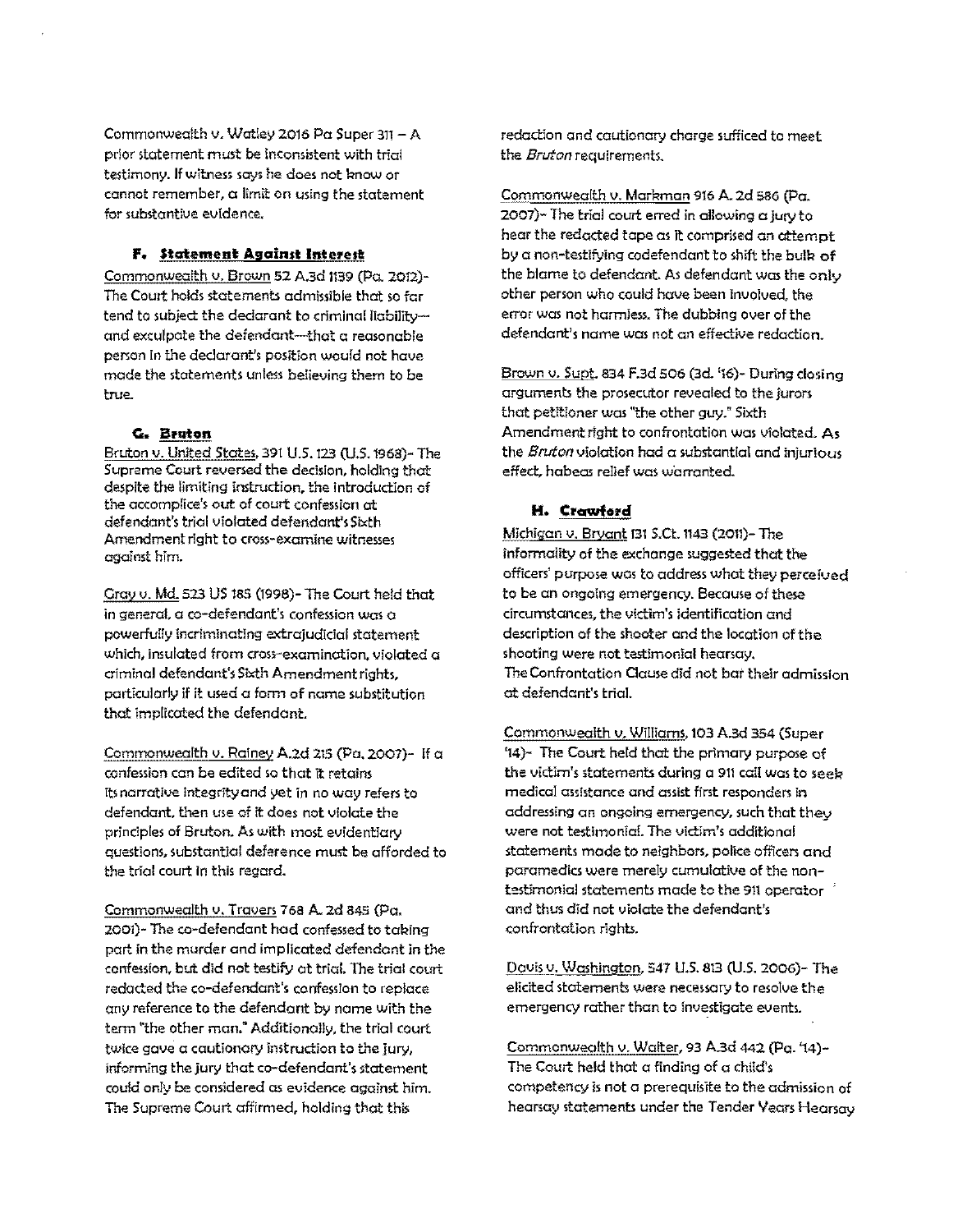Commonwealth v. Watley 2016 Po Super 311- A prior statement must be inconsistent with trial testimony. If witness says he does not know or cannot remember, a limit on using the statement for substantive evidence.

### **F.** Statement Against Interest

Commonwealth v. Brown 52 A.3d 1139 (po. 2012)- The Court holds statements admissible that so far tend to subject the declarant to criminal liabilityand exculpate the defendant-that a reasonable person in the declarant's position would not have made the statements unless believing them to be true.

### **G. Bruton**

Bruton v. United States. 391 U.s. 123 (US. 1968)- The Supreme Court reversed the decision, holding that despite the limiting instruction, the introduction of the accomplice's out of court confession at defendant's trial violated defendant's Sixth Amendment right to cross-examine witnesses against him.

Grey v. Md. 523 US 185 (1996)- The Court held that in general, a co-defendant's confession was a powerfully incriminating extrajudicial statement **which, insulated from cross-examination, violated a**  criminal defendant's Sixth Amendment rights, particularly if it used a form of name substitution that implicated the defendant.

Commonwealth v. Rainey A.2d 215 (Po. 2007)- II a confession can be edited so that it retains its narrative integrity and yet in no way refers to defendant, then use of it does not violate the prinCiples of Bruton. As with most evidentiary questions, substantial deference must be afforded to the trial court In this regard.

Commonwealth v. Travers 768 A. 2d 845 (Pa. 2001)- The co-defendant hod confessed to taking part in the murder and implicated defendant in the confession, but did not testify at trial. The trial court redacted the co-defendant's confession to replace any reference to the defendant by name with the term ''the other man: Additionally, the trial court **twice gave a cautionary instruction to the jury,**  informing the jury that co-delendant's statement could only be considered as evidence against him. The Supreme Court affirmed, holding that this

redaction and cautionary charge sufficed to meet the *Bruton* requirements.

Commonwealth v. Markman 916 A. 2d 586 (Pa. 2007)- The trial court erred in allowing a jury to hear the redacted tape as it comprised an attempt by a non-testifying codefendant to shift the bulk of the blame to defendant. As defendant was the only other person who could have been involved, the error was not harmless. The dubbing over of the defendant's name was not an effective redaction.

Brown v. Supt. 834 F.3d 506 (3d. '16)- During closing arguments the prosecutor revealed to the jurors that petitioner Was "the other guy." Sixth Amendment right to confrontation was violated. As the *Bruton* violation had a substantial and injurious effect, habeas relief was warranted.

### **H. Crawford**

Michigan v. Bryant 131 S.Ct. 1143 (2011)- The informality of the exchange suggested that the officers' purpose was to address what they perceived to be an ongoing emergency. Because of these circumstances, the victim's identification and description of the shooter and the location of the shooting were nat testimonial hearsay. The Confrontation Clause did not bat their admission at defendant's trial.

Commonwealth v, Williams, 103 A.3d 354 (Super '14)- The Court held that the primary purpose of the victim's statements during a 911 call was to seely **medical assistance and assist fint responders in**  addressing an ongoing emergency, such that they were not testimonial. The victim's additional statements made to neighbors, police officers and paramedics were merely cumulative of the nontestimonial statements made to the 911 operator and thus did not violate the defendant's confrontation rights.

Davis v. Washington, 547 U.S. 813 (U.S. 2006)- The elicited statements were necessary to resolve the emergency rather than to investigate events.

Commonwealth v. Walter, 93 A.3d 442 (Pa. '14)- The Court held that a finding of a child's competency is not a prerequisite to the admission of hearsay statements under the Tender Vears Hearsay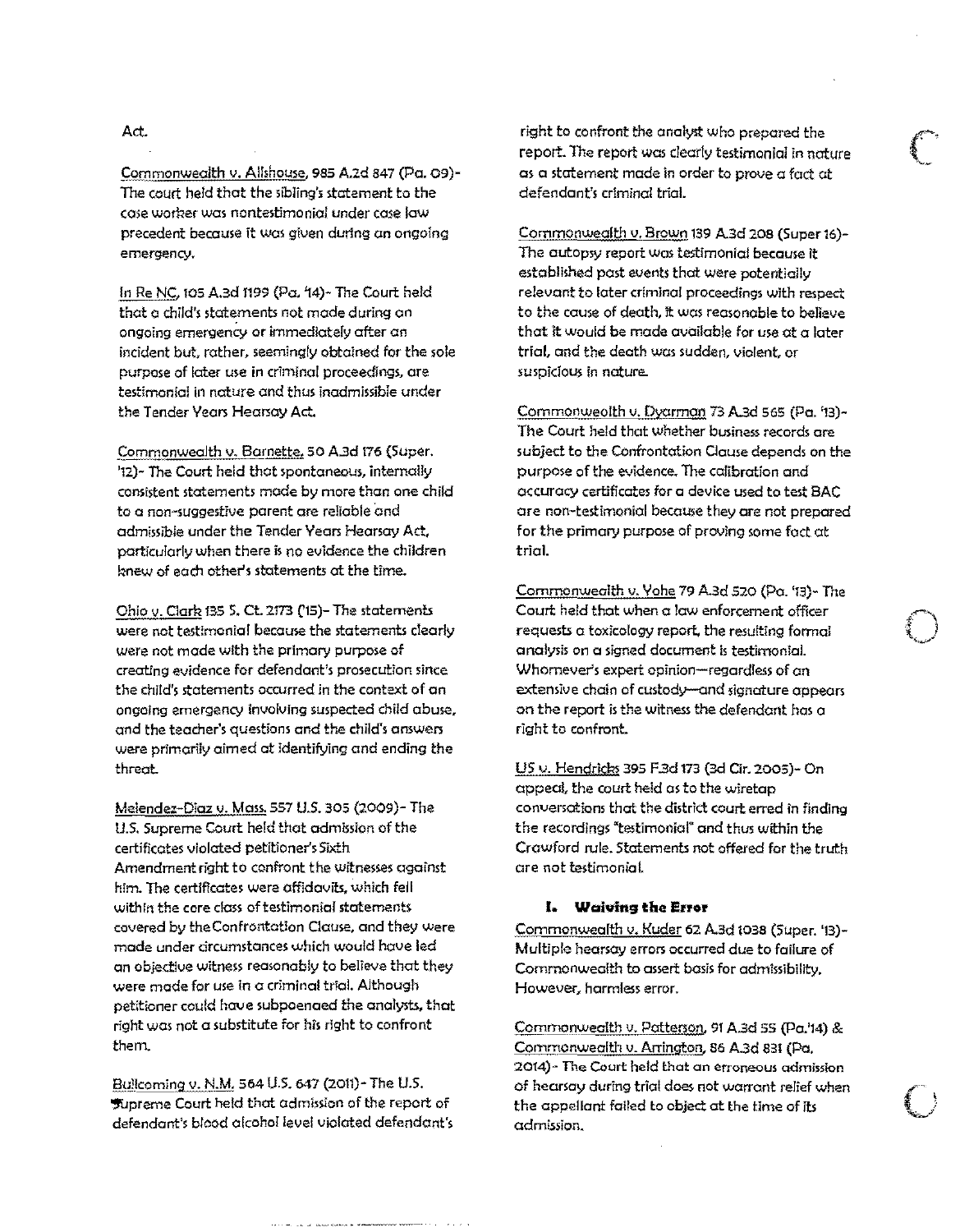### Act.

Commonwealth v. Allshouse, 985 A.2d 847 (Pa. 09)-The court held that the sibling's statement to the case worker was nontestimonial under case law precedent because it was given durtng on ongoing **emergency.** 

In Re NC, 105 A.3d 1199 (Po, 14)- The Court held that a child's statements not mode during on **ongoing emergenCy or immediately after an**  incident but, rather. seemingly obtained for the sole purpose of later use in criminal proceedings, are testimonial in nature and thus inadmissible under the Tender Years Hearsay Act.

.Commonwealth v. Barnette. 50 A3d f76 (Super. '12)- The Court held that spontaneous, internally consistent statements mode by more than one child to a non-suggestive parent ore rellable and admissible under the Tender Yeors Hearsay Act, particularly when there is no evidence the children knew of each other's statements at the time.

Ohio v. Clark 135 S. Ct. 2173 (15)- The statements were not testimonial because the statements clearly were not mode with the primary purpose of creating evidence for defendant's prosecution since the Child's statements occurred in the context of an ongoing emergency involving suspected child abuse, and the teacher's questions and the child's answers were primarily aimed at identifying and ending the threat.

Melendez-Diaz v. Mass. 557 U.S. 305 (2009)- The u.s. Supreme Court held that admission of the certifleates violated petitioner's SIXth Amendment right to confront the witnesses against him. The certificates were affidavits, which fell within the core class of testimonial statements covered by the Confrontation Clause, and they Were made under circumstances which would have led an objective witness reasonably to believe that they were mode for use in a criminal trial. Although petitioner could houe subpoenaed the analysts, that right was not a substitute for his right to confront them.

Bullcoming v. N.M. 564 U.S. 647 (2011)- The U.S. '!I'Upreme Court held that admj"ion of the report of defendant's blood alcohol level violated defendant's right to confront the analyst who prepared the report. The report was clearly testimonial in nature as a statement made In order to prove a foct at defendant's criminal triol.

Commonwealth v. Brown 139 A.3d 208 (Super16)- The autopsy report Was testimonial because it established post events that were potentially relevant to later criminal proceedings with respect to the couse of death, it was reasonable to believe that it would be made available for use at a later trial. and the death was sudden, violent, or **suspicious in nature..** 

Commonweolth v. Dyorman 73 A.3d 565 (Po. '13)- The Court held that whether business records are subject to the Confrontation Clause depends on the purpose of the evidence. The calibration and accuracy certificates for a device used to test BAC are non-testimonial because they are not prepared for the primary purpose of proving some fact at trial.

Commonwealth v. Yohe 79 A.3d 520 (Pa. '13)- The Court held that when a law enforcement officer requests a toxicology report. the resulting formal analysis On a signed document Is testimonial. Whomever's expert opinion-regardless of on extensive chain of custody-and signature appears on the report is the witness the defendant has a right to confront.

US v. Hendricks 395 F.3d 173 (3d Cir. 2005)- On appeal, the court held as to the wiretap conversations that the district court erred in finding the recordings 'testimonial' and thus within the Crawford rule. Statements not offered for the truth ore not testimonial

#### **I. Waiving the Error**

Commonwealth v. Kuder 62 A.3d 1038 (Super. '13)- Multiple hearsay errors occurred due to failure of Commonwealth to assert basis for admissibility. However, harmless error.

Commonwealth v. Patterson. 91 A.3d 55 (pa.'14) & Commonwealth v. Arrington, 86 A.3d 831 (Po. **20t4)- The Court held that an erroneous odmi\$5Ion**  of hearsay during trial does not warrant relief when the appellant foiled to object at the time of its admission~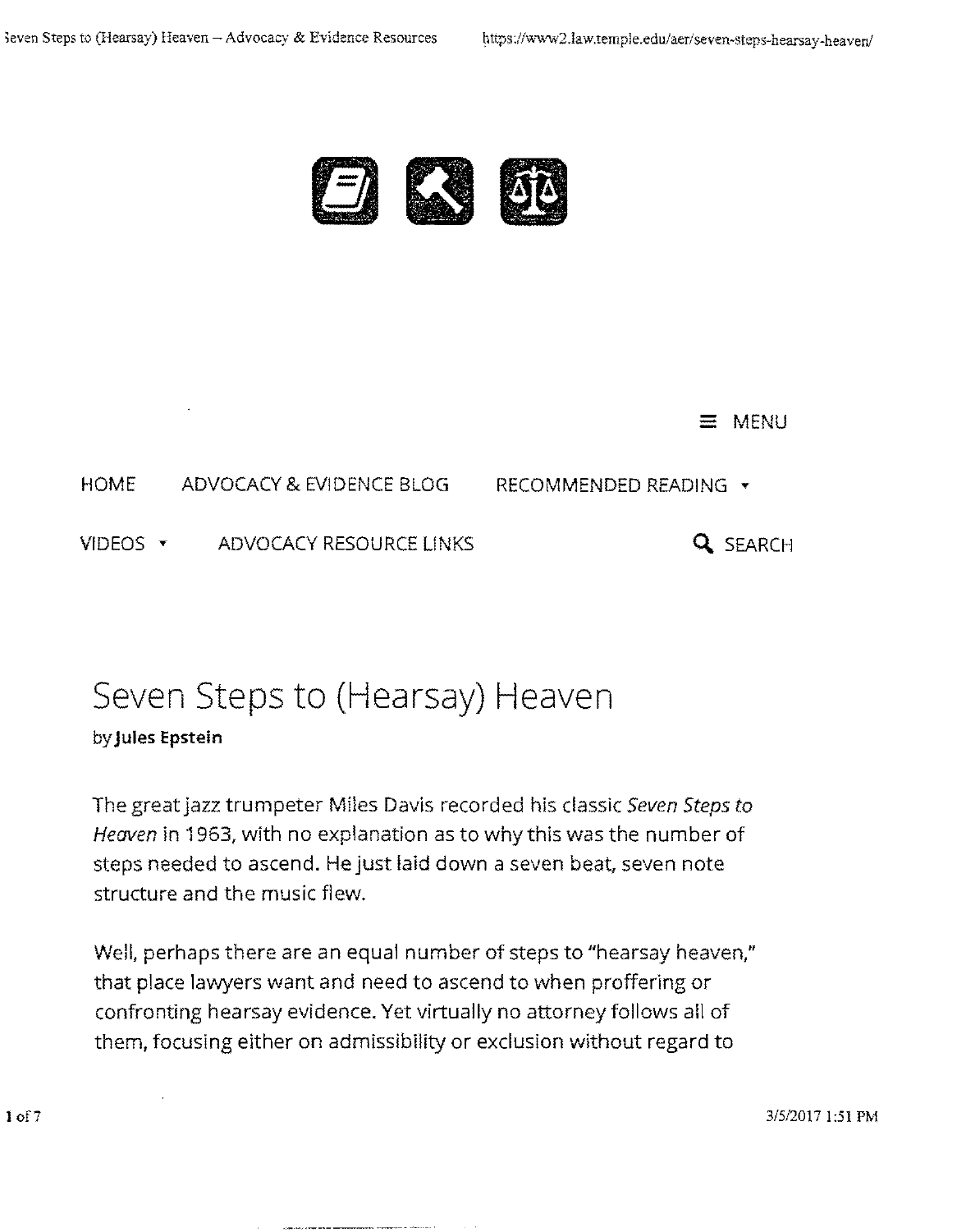

## $\equiv$  MENU

HOME ADVOCACY & EVIDENCE BLOG RECOMMENDED READING .

VIDEOS TADVOCACY RESOURCE LINKS **Q.** SEARCH

# Seven Steps to (Hearsay) Heaven

## by **Jules Epstein**

The great jazz trumpeter Miles Davis recorded his classic *Seven Steps to*  Heaven in 1963, with no explanation as to why this was the number of steps needed to ascend. He just laid down a seven beat, seven note structure and the music flew.

Well, perhaps there are an equal number of steps to "hearsay heaven," that place lawyers want and need to ascend to when proffering or confronting hearsay evidence. Yet virtually no attorney follows all of them, focusing either on admissibility or exclusion without regard to

3/5120171:51 PM

10f7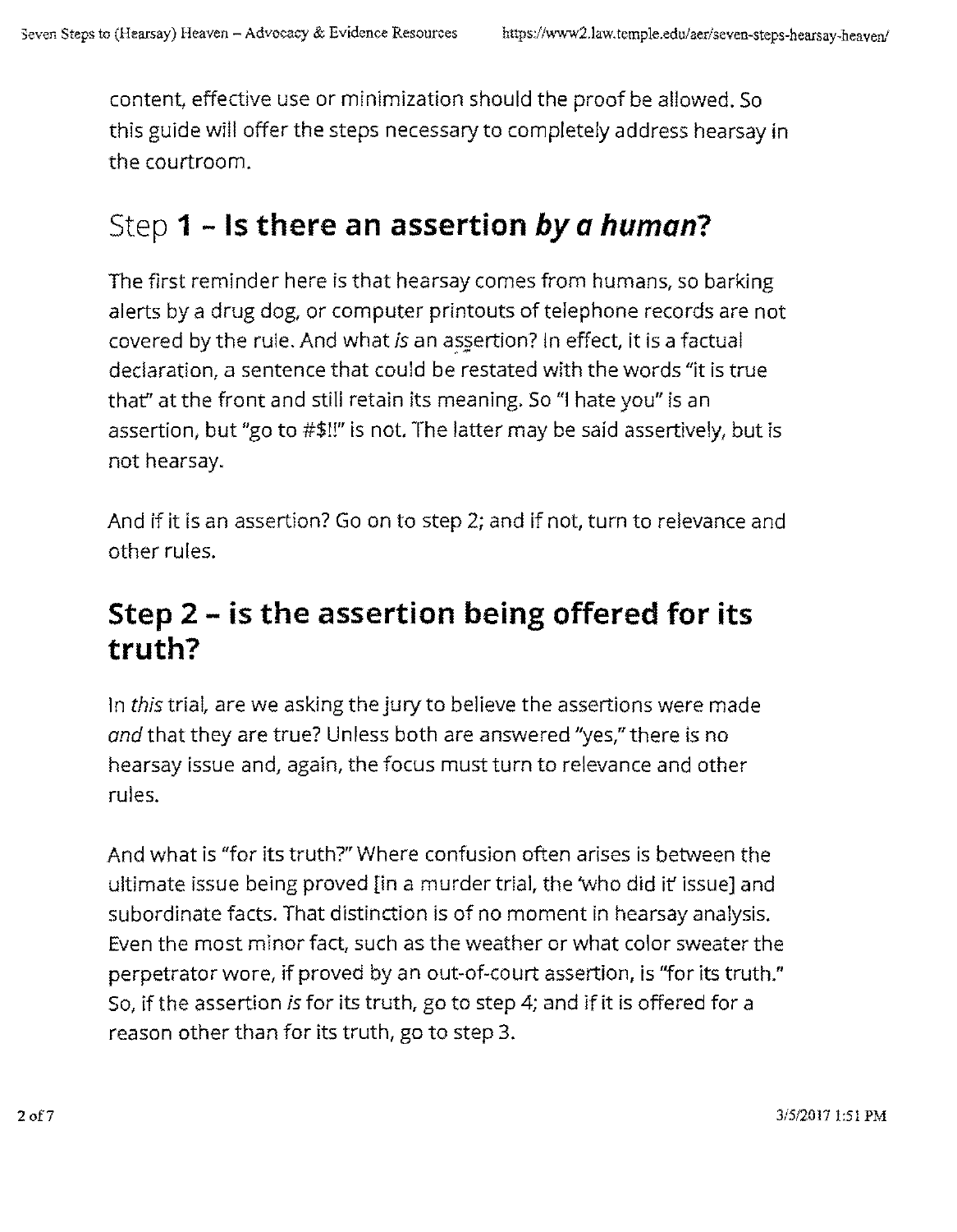content, effective use or minimization should the proof be allowed. So this guide will offer the steps necessary to completely address hearsay in the courtroom.

# Step 1 - **Is there an assertion** by *a* **human?**

The first reminder here is that hearsay comes from humans, so barking alerts by a drug dog, or computer printouts of telephone records are not covered by the rule. And what *is* an assertion? In effect, it is a factual declaration, a sentence that could be restated with the words "it is true that" at the front and still retain its meaning. So "I hate you" is an assertion, but "go to #\$!!" is not. The latter may be said assertively, but is not hearsay.

And if it is an assertion? Go on to step 2; and if not, turn to relevance and other rules.

## **Step 2 - is the assertion being offered for its truth?**

In *this* trial, are we asking the jury to believe the assertions were made and that they are true? Unless both are answered "yes," there is no hearsay issue and, again, the focus must turn to relevance and other rules.

And what is "for its truth?" Where confusion often arises is between the ultimate issue being proved [in a murder trial, the 'who did it' issue] and subordinate facts. That distinction is of no moment in hearsay analysis. Even the most minor fact, such as the weather or what color sweater the perpetrator wore, if proved by an out-of-court assertion, is "for its truth." So, if the assertion *is* for its truth, go to step 4; and if it is offered for a reason other than for its truth, go to step 3.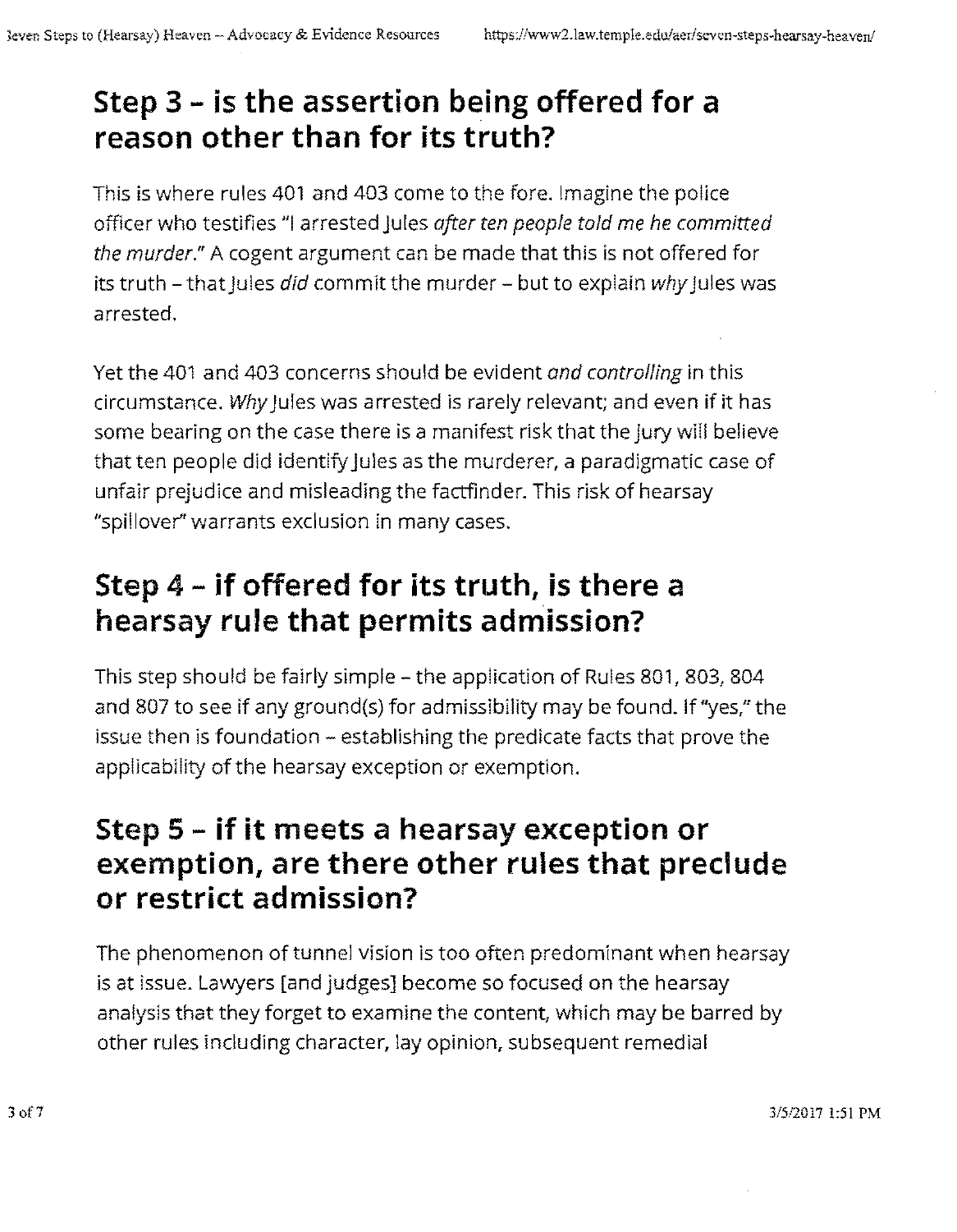# **Step 3 - is the assertion being offered for a reason other than for its truth?**

This is where rules 401 and 403 come to the fore. Imagine the police officer who testifies "I arrested Jules *after ten people told* me *he committed the murder."* A cogent argument can be made that this is not offered for its truth - that jules *did* commit the murder - but to explain why jules was arrested.

Yet the 401 and 403 concerns should be evident *and controlling* in this circumstance. Why jules was arrested is rarely relevant; and even if it has some bearing on the case there is a manifest risk that the jury will believe that ten people did identify Jules as the murderer, a paradigmatic case of unfair prejudice and misleading the factfinder. This risk of hearsay "spillover" warrants exclusion in many cases.

# **Step** 4 - **if offered for its truth, is there a hearsay rule that permits admission?**

This step should be fairly simple - the application of Rules 801, 803, 804 and 807 to see if any ground(s) for admissibility may be found. If "yes," the issue then is foundation - establishing the predicate facts that prove the applicability of the hearsay exception or exemption.

## **Step 5 - if it meets a hearsay exception or exemption, are there other rules that preclude or restrict admission?**

The phenomenon of tunnel vision is too often predominant when hearsay is at issue. Lawyers [and judges] become so focused on the hearsay analysis that they forget to examine the content, which may be barred by other rules including character, lay opinion, subsequent remedial

*3/512017* \:51 PM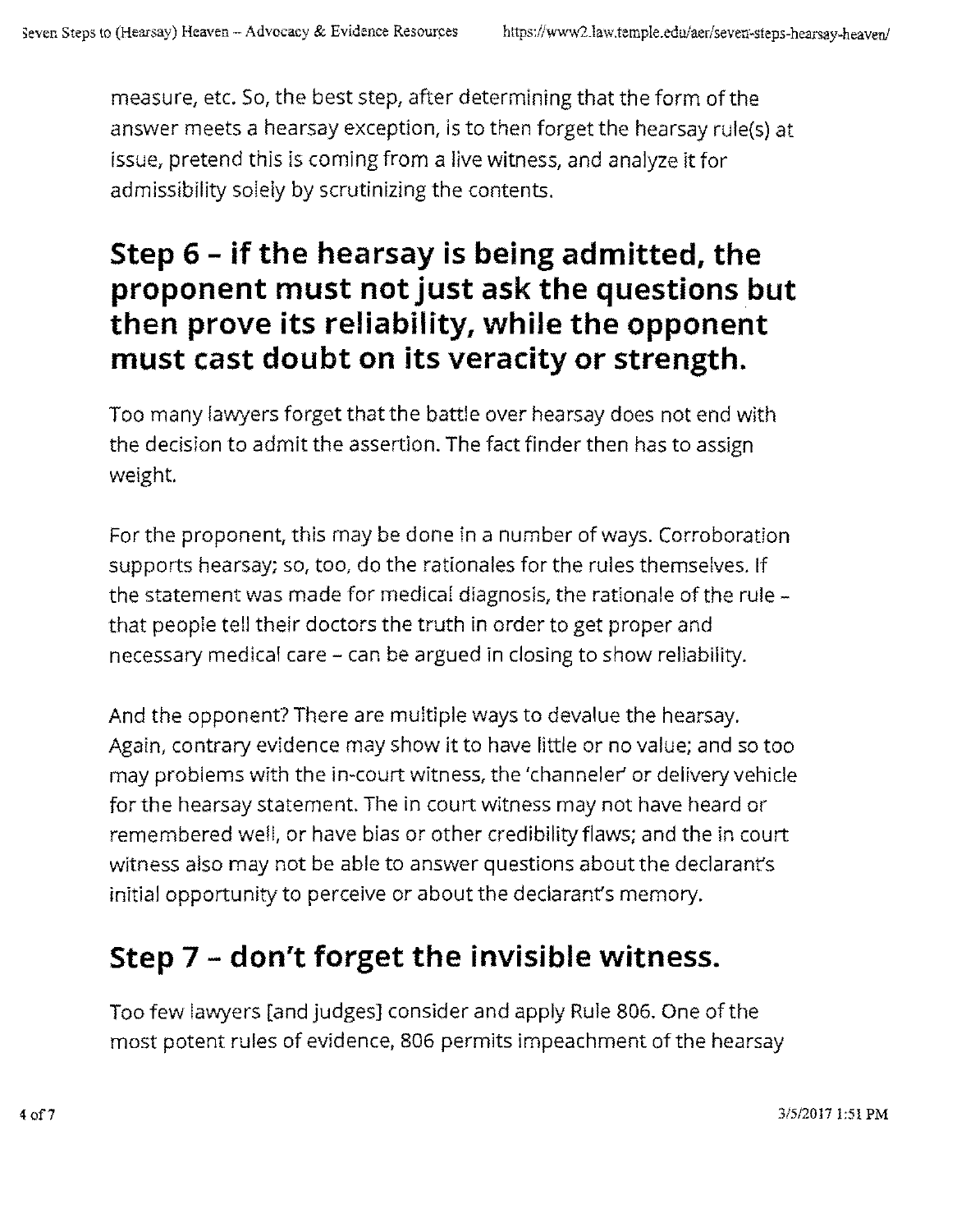measure, etc. So, the best step, after determining that the form of the answer meets a hearsay exception, is to then forget the hearsay rule(s) at issue, pretend this is coming from a live witness, and analyze it for admissibility solely by scrutinizing the contents.

# **Step 6 - if the hearsay is being admitted, the proponent must not just ask the questions but then prove its reliability, while the opponent must cast doubt on its veracity or strength.**

Too many lawyers forget that the battle over hearsay does not end with the decision to admit the assertion. The fact finder then has to assign weight.

For the proponent, this may be done in a number of ways. Corroboration supports hearsay; so, too, do the rationales for the rules themselves. If the statement was made for medical diagnosis, the rationale of the rule that people tell their doctors the truth in order to get proper and necessary medical care - can be argued in closing to show reliability.

And the opponent? There are multiple ways to devalue the hearsay. Again, contrary evidence may show it to have little or no value; and so too may problems with the in-court witness, the 'channeler or delivery vehicle for the hearsay statement. The in court witness may not have heard or remembered well, or have bias or other credibility flaws; and the in court witness also may not be able to answer questions about the declarant's initial opportunity to perceive or about the declarant's memory.

# **Step 7 - don't forget the invisible witness.**

Too few lawyers [and judges] consider and apply Rule 806. One of the most potent rules of evidence, 806 permits impeachment of the hearsay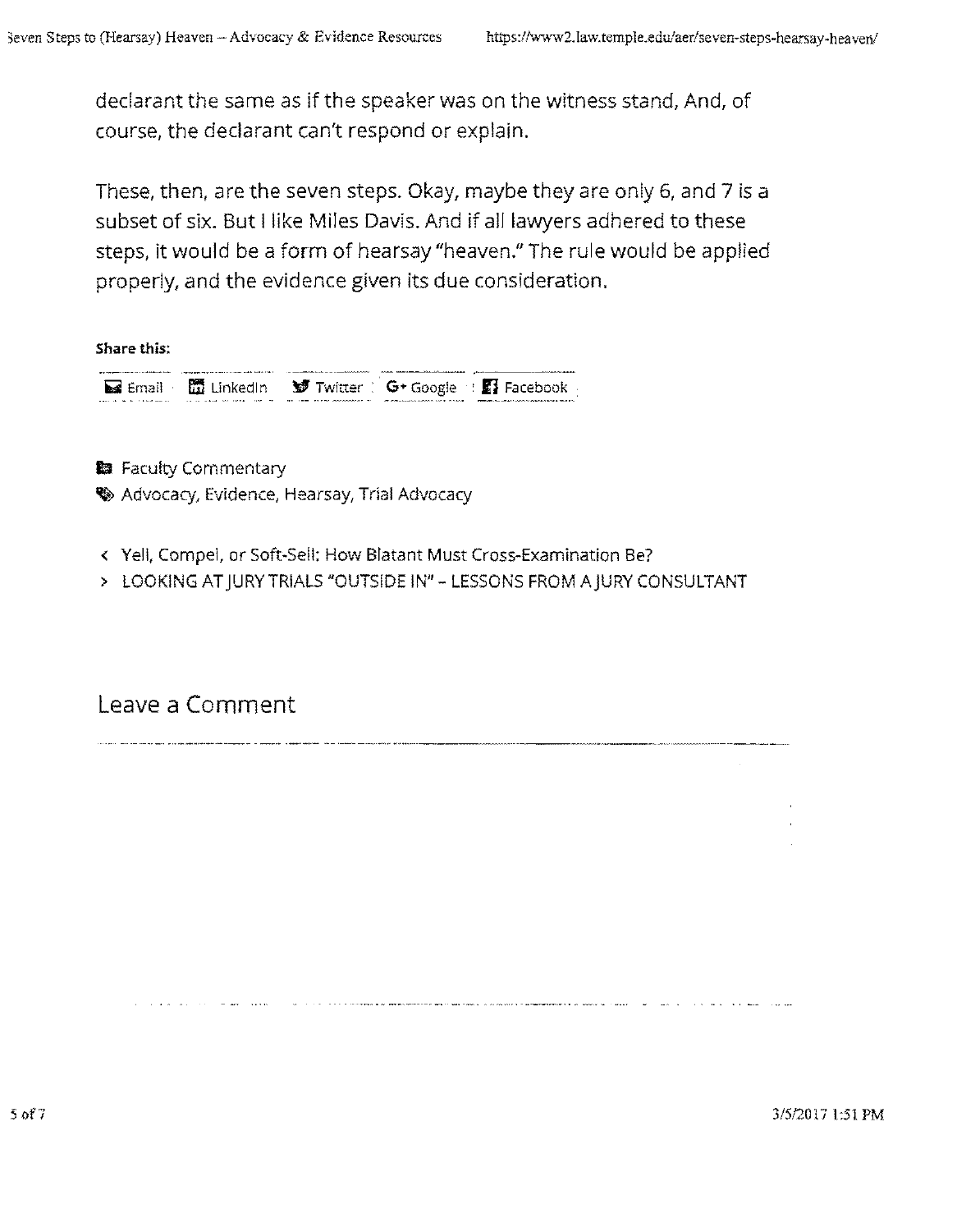declarant the same as if the speaker was on the witness stand, And, of course, the declarant can't respond or explain.

These, then, are the seven steps. Okay, maybe they are only 6, and 7 is a subset of six. But I like Miles Davis. And if all lawyers adhered to these steps, it would be a form of hearsay "heaven." The rule would be applied properly, and the evidence given its due consideration.

Share this:

is Email **in Linkedln in Twitter** : **G**\* Google : **Il** Facebook

**B** Faculty Commentary

**W** Advocacy, Evidence, Hearsay, Trial Advocacy

- < Yell, Compel, or Soft-Sell; How Blatant Must Cross-Examination Be?
- > LOOKING AT JURY TRIALS "OUTSIDE IN" LESSONS FROM A JURY CONSULTANT

Leave a Comment